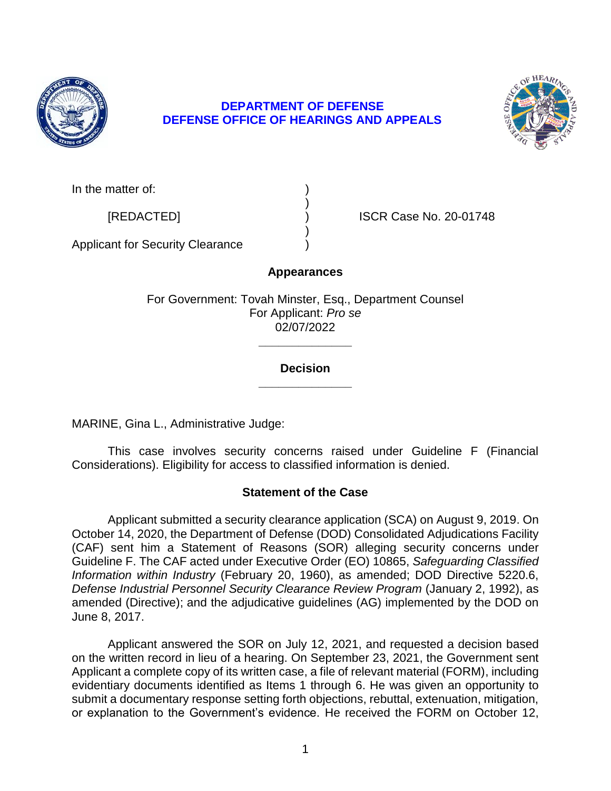

# **DEPARTMENT OF DEFENSE DEFENSE OFFICE OF HEARINGS AND APPEALS**



In the matter of:

[REDACTED] ) ISCR Case No. 20-01748

Applicant for Security Clearance )

# **Appearances**

)

)

For Government: Tovah Minster, Esq., Department Counsel For Applicant: *Pro se*  02/07/2022

# **\_\_\_\_\_\_\_\_\_\_\_\_\_\_ Decision**

**\_\_\_\_\_\_\_\_\_\_\_\_\_\_** 

MARINE, Gina L., Administrative Judge:

 This case involves security concerns raised under Guideline F (Financial Considerations). Eligibility for access to classified information is denied.

# **Statement of the Case**

 Applicant submitted a security clearance application (SCA) on August 9, 2019. On October 14, 2020, the Department of Defense (DOD) Consolidated Adjudications Facility (CAF) sent him a Statement of Reasons (SOR) alleging security concerns under Guideline F. The CAF acted under Executive Order (EO) 10865, *Safeguarding Classified Information within Industry* (February 20, 1960), as amended; DOD Directive 5220.6, amended (Directive); and the adjudicative guidelines (AG) implemented by the DOD on *Defense Industrial Personnel Security Clearance Review Program* (January 2, 1992), as June 8, 2017.

 Applicant answered the SOR on July 12, 2021, and requested a decision based on the written record in lieu of a hearing. On September 23, 2021, the Government sent Applicant a complete copy of its written case, a file of relevant material (FORM), including evidentiary documents identified as Items 1 through 6. He was given an opportunity to submit a documentary response setting forth objections, rebuttal, extenuation, mitigation, or explanation to the Government's evidence. He received the FORM on October 12,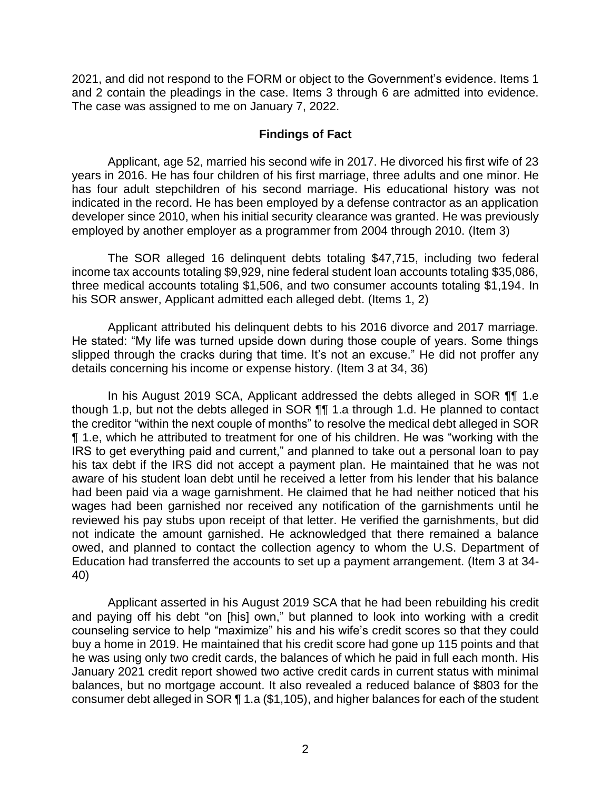2021, and did not respond to the FORM or object to the Government's evidence. Items 1 and 2 contain the pleadings in the case. Items 3 through 6 are admitted into evidence. The case was assigned to me on January 7, 2022.

# **Findings of Fact**

 Applicant, age 52, married his second wife in 2017. He divorced his first wife of 23 years in 2016. He has four children of his first marriage, three adults and one minor. He indicated in the record. He has been employed by a defense contractor as an application developer since 2010, when his initial security clearance was granted. He was previously has four adult stepchildren of his second marriage. His educational history was not employed by another employer as a programmer from 2004 through 2010. (Item 3)

 The SOR alleged 16 delinquent debts totaling \$47,715, including two federal income tax accounts totaling \$9,929, nine federal student loan accounts totaling \$35,086, three medical accounts totaling \$1,506, and two consumer accounts totaling \$1,194. In his SOR answer, Applicant admitted each alleged debt. (Items 1, 2)

 Applicant attributed his delinquent debts to his 2016 divorce and 2017 marriage. He stated: "My life was turned upside down during those couple of years. Some things slipped through the cracks during that time. It's not an excuse." He did not proffer any details concerning his income or expense history. (Item 3 at 34, 36)

In his August 2019 SCA, Applicant addressed the debts alleged in SOR ¶¶ 1.e though 1.p, but not the debts alleged in SOR ¶¶ 1.a through 1.d. He planned to contact the creditor "within the next couple of months" to resolve the medical debt alleged in SOR ¶ 1.e, which he attributed to treatment for one of his children. He was "working with the IRS to get everything paid and current," and planned to take out a personal loan to pay his tax debt if the IRS did not accept a payment plan. He maintained that he was not aware of his student loan debt until he received a letter from his lender that his balance had been paid via a wage garnishment. He claimed that he had neither noticed that his wages had been garnished nor received any notification of the garnishments until he reviewed his pay stubs upon receipt of that letter. He verified the garnishments, but did not indicate the amount garnished. He acknowledged that there remained a balance owed, and planned to contact the collection agency to whom the U.S. Department of Education had transferred the accounts to set up a payment arrangement. (Item 3 at 34- 40)

 Applicant asserted in his August 2019 SCA that he had been rebuilding his credit and paying off his debt "on [his] own," but planned to look into working with a credit counseling service to help "maximize" his and his wife's credit scores so that they could buy a home in 2019. He maintained that his credit score had gone up 115 points and that he was using only two credit cards, the balances of which he paid in full each month. His January 2021 credit report showed two active credit cards in current status with minimal balances, but no mortgage account. It also revealed a reduced balance of \$803 for the consumer debt alleged in SOR ¶ 1.a (\$1,105), and higher balances for each of the student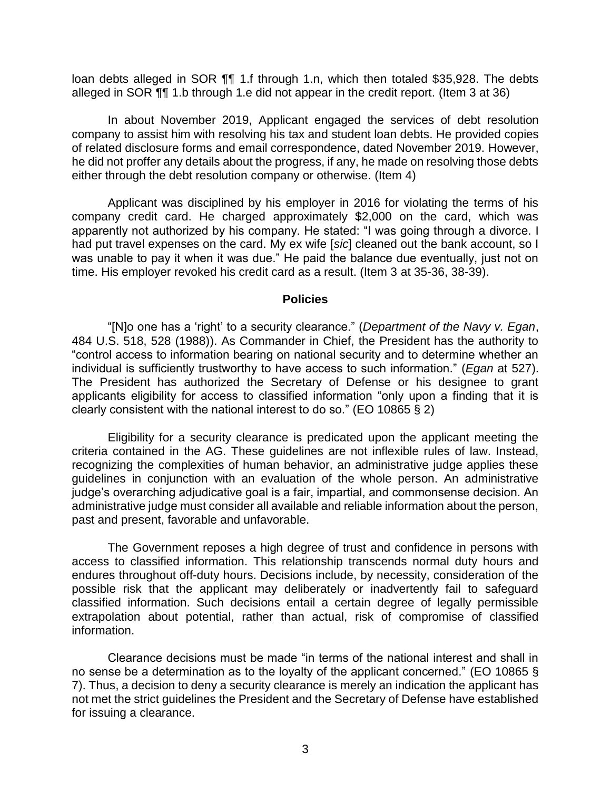loan debts alleged in SOR 11 1.f through 1.n, which then totaled \$35,928. The debts alleged in SOR ¶¶ 1.b through 1.e did not appear in the credit report. (Item 3 at 36)

 In about November 2019, Applicant engaged the services of debt resolution company to assist him with resolving his tax and student loan debts. He provided copies of related disclosure forms and email correspondence, dated November 2019. However, he did not proffer any details about the progress, if any, he made on resolving those debts either through the debt resolution company or otherwise. (Item 4)

 Applicant was disciplined by his employer in 2016 for violating the terms of his company credit card. He charged approximately \$2,000 on the card, which was apparently not authorized by his company. He stated: "I was going through a divorce. I had put travel expenses on the card. My ex wife [*sic*] cleaned out the bank account, so I was unable to pay it when it was due." He paid the balance due eventually, just not on time. His employer revoked his credit card as a result. (Item 3 at 35-36, 38-39).

#### **Policies**

 "[N]o one has a 'right' to a security clearance." (*Department of the Navy v. Egan*, 484 U.S. 518, 528 (1988)). As Commander in Chief, the President has the authority to "control access to information bearing on national security and to determine whether an individual is sufficiently trustworthy to have access to such information." (*Egan* at 527). The President has authorized the Secretary of Defense or his designee to grant applicants eligibility for access to classified information "only upon a finding that it is clearly consistent with the national interest to do so." (EO 10865 § 2)

 Eligibility for a security clearance is predicated upon the applicant meeting the criteria contained in the AG. These guidelines are not inflexible rules of law. Instead, recognizing the complexities of human behavior, an administrative judge applies these guidelines in conjunction with an evaluation of the whole person. An administrative administrative judge must consider all available and reliable information about the person, judge's overarching adjudicative goal is a fair, impartial, and commonsense decision. An past and present, favorable and unfavorable.

 The Government reposes a high degree of trust and confidence in persons with access to classified information. This relationship transcends normal duty hours and endures throughout off-duty hours. Decisions include, by necessity, consideration of the possible risk that the applicant may deliberately or inadvertently fail to safeguard classified information. Such decisions entail a certain degree of legally permissible extrapolation about potential, rather than actual, risk of compromise of classified information.

 Clearance decisions must be made "in terms of the national interest and shall in no sense be a determination as to the loyalty of the applicant concerned." (EO 10865 § 7). Thus, a decision to deny a security clearance is merely an indication the applicant has not met the strict guidelines the President and the Secretary of Defense have established for issuing a clearance.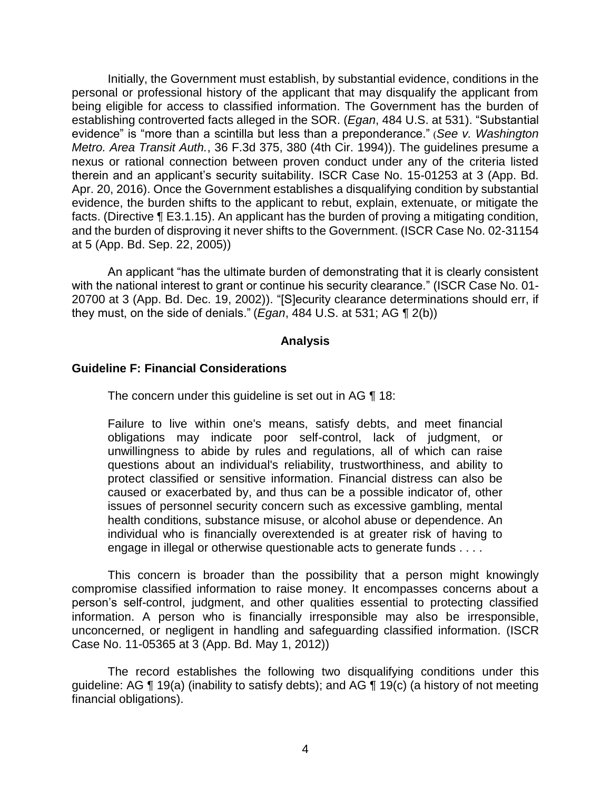Initially, the Government must establish, by substantial evidence, conditions in the personal or professional history of the applicant that may disqualify the applicant from being eligible for access to classified information. The Government has the burden of establishing controverted facts alleged in the SOR. (*Egan*, 484 U.S. at 531). "Substantial evidence" is "more than a scintilla but less than a preponderance." (*See v. Washington Metro. Area Transit Auth.*, 36 F.3d 375, 380 (4th Cir. 1994)). The guidelines presume a nexus or rational connection between proven conduct under any of the criteria listed therein and an applicant's security suitability. ISCR Case No. 15-01253 at 3 (App. Bd. Apr. 20, 2016). Once the Government establishes a disqualifying condition by substantial evidence, the burden shifts to the applicant to rebut, explain, extenuate, or mitigate the facts. (Directive ¶ E3.1.15). An applicant has the burden of proving a mitigating condition, and the burden of disproving it never shifts to the Government. (ISCR Case No. 02-31154 at 5 (App. Bd. Sep. 22, 2005))

An applicant "has the ultimate burden of demonstrating that it is clearly consistent with the national interest to grant or continue his security clearance." (ISCR Case No. 01- 20700 at 3 (App. Bd. Dec. 19, 2002)). "[S]ecurity clearance determinations should err, if they must, on the side of denials." (*Egan*, 484 U.S. at 531; AG ¶ 2(b))

#### **Analysis**

# **Guideline F: Financial Considerations**

The concern under this quideline is set out in AG ¶ 18:

Failure to live within one's means, satisfy debts, and meet financial obligations may indicate poor self-control, lack of judgment, or unwillingness to abide by rules and regulations, all of which can raise questions about an individual's reliability, trustworthiness, and ability to protect classified or sensitive information. Financial distress can also be caused or exacerbated by, and thus can be a possible indicator of, other issues of personnel security concern such as excessive gambling, mental health conditions, substance misuse, or alcohol abuse or dependence. An individual who is financially overextended is at greater risk of having to engage in illegal or otherwise questionable acts to generate funds . . . .

 This concern is broader than the possibility that a person might knowingly compromise classified information to raise money. It encompasses concerns about a person's self-control, judgment, and other qualities essential to protecting classified information. A person who is financially irresponsible may also be irresponsible, unconcerned, or negligent in handling and safeguarding classified information. (ISCR Case No. 11-05365 at 3 (App. Bd. May 1, 2012))

 The record establishes the following two disqualifying conditions under this guideline: AG ¶ 19(a) (inability to satisfy debts); and AG ¶ 19(c) (a history of not meeting financial obligations).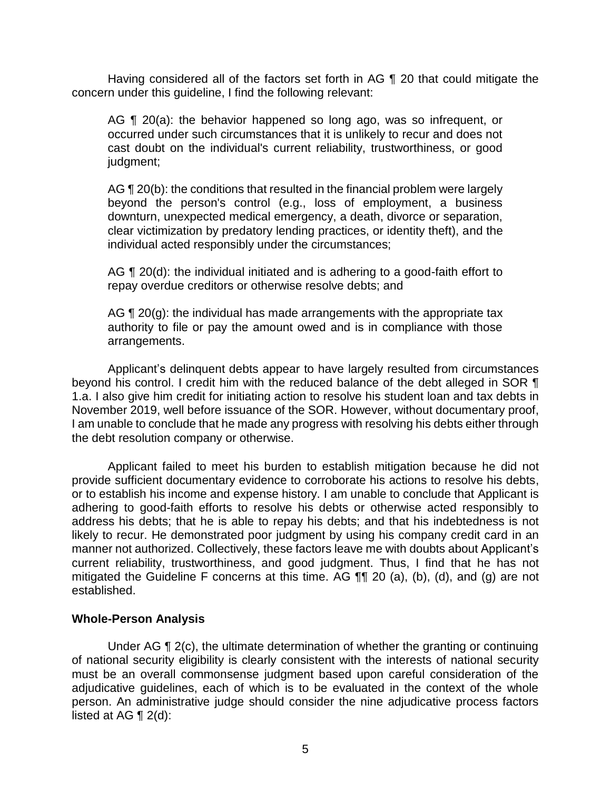Having considered all of the factors set forth in AG ¶ 20 that could mitigate the concern under this guideline, I find the following relevant:

AG ¶ 20(a): the behavior happened so long ago, was so infrequent, or occurred under such circumstances that it is unlikely to recur and does not cast doubt on the individual's current reliability, trustworthiness, or good judgment;

AG ¶ 20(b): the conditions that resulted in the financial problem were largely beyond the person's control (e.g., loss of employment, a business clear victimization by predatory lending practices, or identity theft), and the downturn, unexpected medical emergency, a death, divorce or separation, individual acted responsibly under the circumstances;

AG ¶ 20(d): the individual initiated and is adhering to a good-faith effort to repay overdue creditors or otherwise resolve debts; and

AG ¶ 20(g): the individual has made arrangements with the appropriate tax authority to file or pay the amount owed and is in compliance with those arrangements.

Applicant's delinquent debts appear to have largely resulted from circumstances beyond his control. I credit him with the reduced balance of the debt alleged in SOR ¶ 1.a. I also give him credit for initiating action to resolve his student loan and tax debts in November 2019, well before issuance of the SOR. However, without documentary proof, I am unable to conclude that he made any progress with resolving his debts either through the debt resolution company or otherwise.

 Applicant failed to meet his burden to establish mitigation because he did not provide sufficient documentary evidence to corroborate his actions to resolve his debts, adhering to good-faith efforts to resolve his debts or otherwise acted responsibly to address his debts; that he is able to repay his debts; and that his indebtedness is not likely to recur. He demonstrated poor judgment by using his company credit card in an manner not authorized. Collectively, these factors leave me with doubts about Applicant's mitigated the Guideline F concerns at this time. AG  $\P\P$  20 (a), (b), (d), and (g) are not or to establish his income and expense history. I am unable to conclude that Applicant is current reliability, trustworthiness, and good judgment. Thus, I find that he has not established.

#### **Whole-Person Analysis**

 Under AG ¶ 2(c), the ultimate determination of whether the granting or continuing of national security eligibility is clearly consistent with the interests of national security must be an overall commonsense judgment based upon careful consideration of the adjudicative guidelines, each of which is to be evaluated in the context of the whole person. An administrative judge should consider the nine adjudicative process factors listed at AG ¶ 2(d):